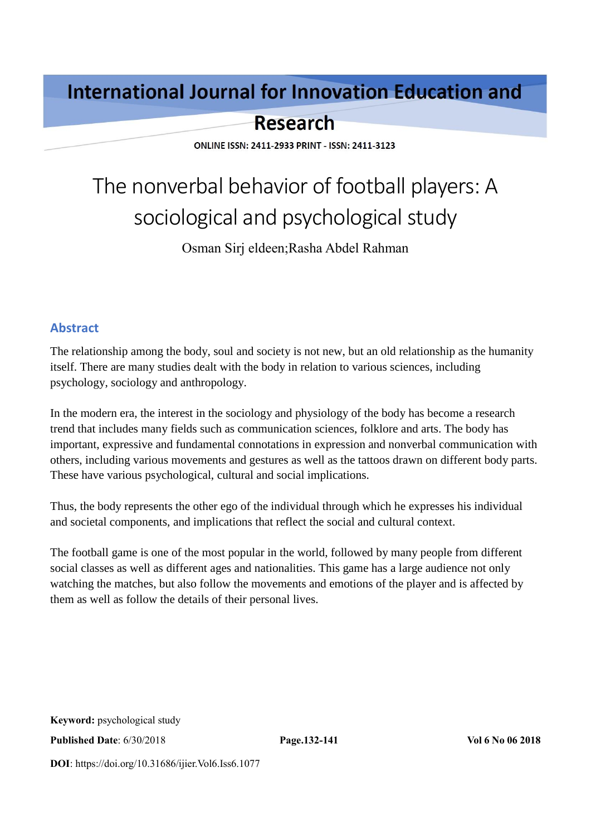# **International Journal for Innovation Education and**

# **Research**

**ONLINE ISSN: 2411-2933 PRINT - ISSN: 2411-3123** 

# The nonverbal behavior of football players: A sociological and psychological study

Osman Sirj eldeen;Rasha Abdel Rahman

#### **Abstract**

The relationship among the body, soul and society is not new, but an old relationship as the humanity itself. There are many studies dealt with the body in relation to various sciences, including psychology, sociology and anthropology.

In the modern era, the interest in the sociology and physiology of the body has become a research trend that includes many fields such as communication sciences, folklore and arts. The body has important, expressive and fundamental connotations in expression and nonverbal communication with others, including various movements and gestures as well as the tattoos drawn on different body parts. These have various psychological, cultural and social implications.

Thus, the body represents the other ego of the individual through which he expresses his individual and societal components, and implications that reflect the social and cultural context.

The football game is one of the most popular in the world, followed by many people from different social classes as well as different ages and nationalities. This game has a large audience not only watching the matches, but also follow the movements and emotions of the player and is affected by them as well as follow the details of their personal lives.

**Published Date**: 6/30/2018 **Page.132-141 Vol 6 No 06 2018**

**DOI**: https://doi.org/10.31686/ijier.Vol6.Iss6.1077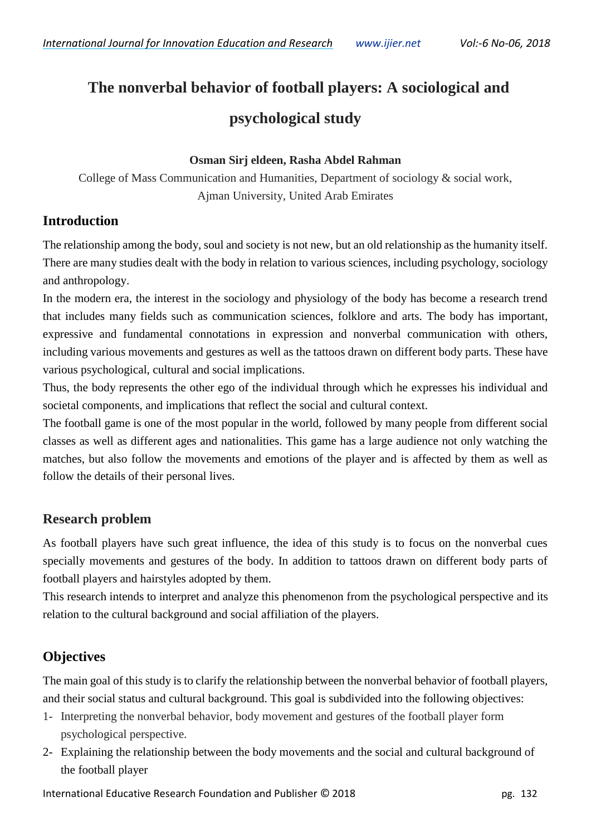# **The nonverbal behavior of football players: A sociological and psychological study**

#### **Osman Sirj eldeen, Rasha Abdel Rahman**

College of Mass Communication and Humanities, Department of sociology & social work, Ajman University, United Arab Emirates

#### **Introduction**

The relationship among the body, soul and society is not new, but an old relationship as the humanity itself. There are many studies dealt with the body in relation to various sciences, including psychology, sociology and anthropology.

In the modern era, the interest in the sociology and physiology of the body has become a research trend that includes many fields such as communication sciences, folklore and arts. The body has important, expressive and fundamental connotations in expression and nonverbal communication with others, including various movements and gestures as well as the tattoos drawn on different body parts. These have various psychological, cultural and social implications.

Thus, the body represents the other ego of the individual through which he expresses his individual and societal components, and implications that reflect the social and cultural context.

The football game is one of the most popular in the world, followed by many people from different social classes as well as different ages and nationalities. This game has a large audience not only watching the matches, but also follow the movements and emotions of the player and is affected by them as well as follow the details of their personal lives.

#### **Research problem**

As football players have such great influence, the idea of this study is to focus on the nonverbal cues specially movements and gestures of the body. In addition to tattoos drawn on different body parts of football players and hairstyles adopted by them.

This research intends to interpret and analyze this phenomenon from the psychological perspective and its relation to the cultural background and social affiliation of the players.

# **Objectives**

The main goal of this study is to clarify the relationship between the nonverbal behavior of football players, and their social status and cultural background. This goal is subdivided into the following objectives:

- 1- Interpreting the nonverbal behavior, body movement and gestures of the football player form psychological perspective.
- 2- Explaining the relationship between the body movements and the social and cultural background of the football player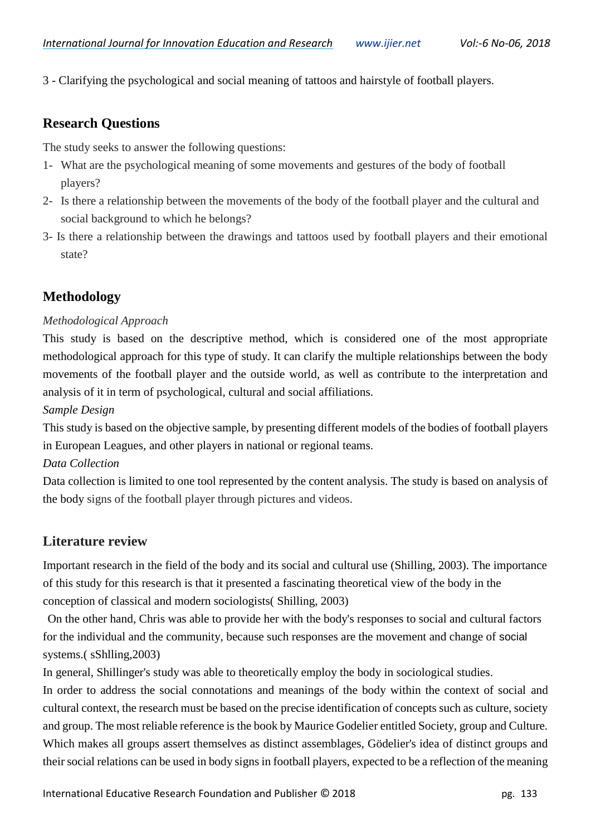3 - Clarifying the psychological and social meaning of tattoos and hairstyle of football players.

#### **Research Questions**

The study seeks to answer the following questions:

- 1- What are the psychological meaning of some movements and gestures of the body of football players?
- 2- Is there a relationship between the movements of the body of the football player and the cultural and social background to which he belongs?
- 3- Is there a relationship between the drawings and tattoos used by football players and their emotional state?

# **Methodology**

#### *Methodological Approach*

This study is based on the descriptive method, which is considered one of the most appropriate methodological approach for this type of study. It can clarify the multiple relationships between the body movements of the football player and the outside world, as well as contribute to the interpretation and analysis of it in term of psychological, cultural and social affiliations.

#### *Sample Design*

This study is based on the objective sample, by presenting different models of the bodies of football players in European Leagues, and other players in national or regional teams.

#### *Data Collection*

Data collection is limited to one tool represented by the content analysis. The study is based on analysis of the body signs of the football player through pictures and videos.

#### **Literature review**

Important research in the field of the body and its social and cultural use (Shilling, 2003). The importance of this study for this research is that it presented a fascinating theoretical view of the body in the conception of classical and modern sociologists( Shilling, 2003)

On the other hand, Chris was able to provide her with the body's responses to social and cultural factors for the individual and the community, because such responses are the movement and change of social systems.( sShlling,2003)

In general, Shillinger's study was able to theoretically employ the body in sociological studies.

In order to address the social connotations and meanings of the body within the context of social and cultural context, the research must be based on the precise identification of concepts such as culture, society and group. The most reliable reference is the book by Maurice Godelier entitled Society, group and Culture. Which makes all groups assert themselves as distinct assemblages, Gödelier's idea of distinct groups and their social relations can be used in body signs in football players, expected to be a reflection of the meaning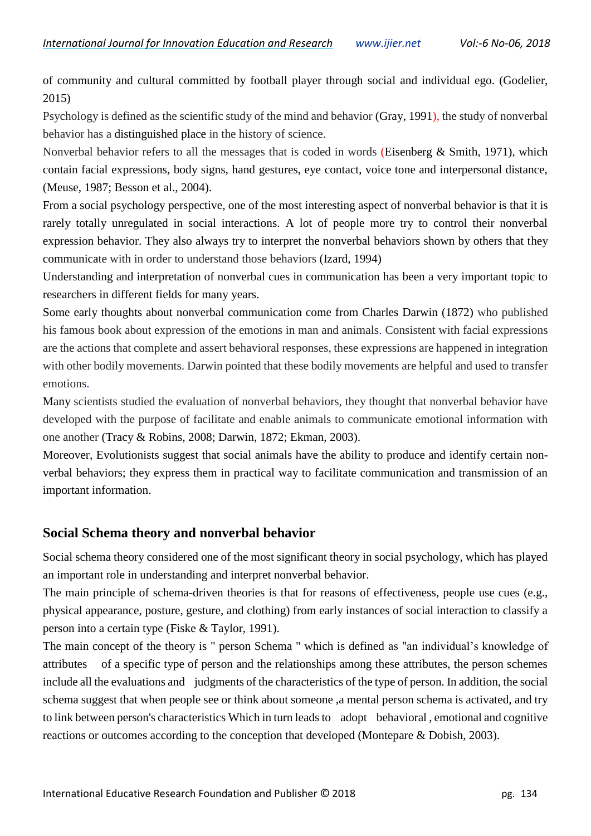of community and cultural committed by football player through social and individual ego. (Godelier, 2015)

Psychology is defined as the scientific study of the mind and behavior (Gray, 1991), the study of nonverbal behavior has a distinguished place in the history of science.

Nonverbal behavior refers to all the messages that is coded in words (Eisenberg & Smith, 1971), which contain facial expressions, body signs, hand gestures, eye contact, voice tone and interpersonal distance, (Meuse, 1987; Besson et al., 2004).

From a social psychology perspective, one of the most interesting aspect of nonverbal behavior is that it is rarely totally unregulated in social interactions. A lot of people more try to control their nonverbal expression behavior. They also always try to interpret the nonverbal behaviors shown by others that they communicate with in order to understand those behaviors (Izard, 1994)

Understanding and interpretation of nonverbal cues in communication has been a very important topic to researchers in different fields for many years.

Some early thoughts about nonverbal communication come from Charles Darwin (1872) who published his famous book about expression of the emotions in man and animals. Consistent with facial expressions are the actions that complete and assert behavioral responses, these expressions are happened in integration with other bodily movements. Darwin pointed that these bodily movements are helpful and used to transfer emotions.

Many scientists studied the evaluation of nonverbal behaviors, they thought that nonverbal behavior have developed with the purpose of facilitate and enable animals to communicate emotional information with one another (Tracy & Robins, 2008; Darwin, 1872; Ekman, 2003).

Moreover, Evolutionists suggest that social animals have the ability to produce and identify certain nonverbal behaviors; they express them in practical way to facilitate communication and transmission of an important information.

#### **Social Schema theory and nonverbal behavior**

Social schema theory considered one of the most significant theory in social psychology, which has played an important role in understanding and interpret nonverbal behavior.

The main principle of schema-driven theories is that for reasons of effectiveness, people use cues (e.g., physical appearance, posture, gesture, and clothing) from early instances of social interaction to classify a person into a certain type (Fiske & Taylor, 1991).

The main concept of the theory is " person Schema " which is defined as "an individual's knowledge of attributes of a specific type of person and the relationships among these attributes, the person schemes include all the evaluations and judgments of the characteristics of the type of person. In addition, the social schema suggest that when people see or think about someone ,a mental person schema is activated, and try to link between person's characteristics Which in turn leads to adopt behavioral , emotional and cognitive reactions or outcomes according to the conception that developed (Montepare & Dobish, 2003).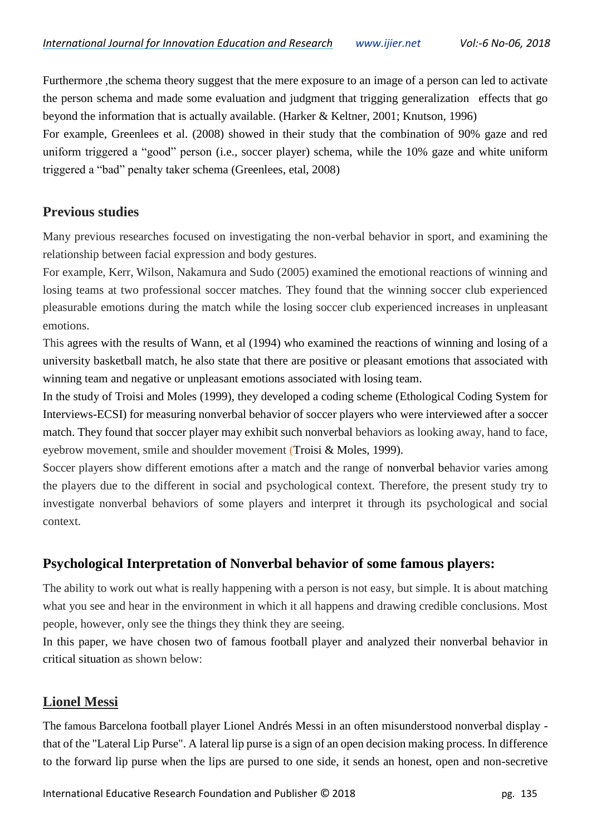Furthermore ,the schema theory suggest that the mere exposure to an image of a person can led to activate the person schema and made some evaluation and judgment that trigging generalization effects that go beyond the information that is actually available. (Harker & Keltner, 2001; Knutson, 1996)

For example, Greenlees et al. (2008) showed in their study that the combination of 90% gaze and red uniform triggered a "good" person (i.e., soccer player) schema, while the 10% gaze and white uniform triggered a "bad" penalty taker schema (Greenlees, etal, 2008)

#### **Previous studies**

Many previous researches focused on investigating the non-verbal behavior in sport, and examining the relationship between facial expression and body gestures.

For example, Kerr, Wilson, Nakamura and Sudo (2005) examined the emotional reactions of winning and losing teams at two professional soccer matches. They found that the winning soccer club experienced pleasurable emotions during the match while the losing soccer club experienced increases in unpleasant emotions.

This agrees with the results of Wann, et al (1994) who examined the reactions of winning and losing of a university basketball match, he also state that there are positive or pleasant emotions that associated with winning team and negative or unpleasant emotions associated with losing team.

In the study of Troisi and Moles (1999), they developed a coding scheme (Ethological Coding System for Interviews-ECSI) for measuring nonverbal behavior of soccer players who were interviewed after a soccer match. They found that soccer player may exhibit such nonverbal behaviors as looking away, hand to face, eyebrow movement, smile and shoulder movement (Troisi & Moles, 1999).

Soccer players show different emotions after a match and the range of nonverbal behavior varies among the players due to the different in social and psychological context. Therefore, the present study try to investigate nonverbal behaviors of some players and interpret it through its psychological and social context.

# **Psychological Interpretation of Nonverbal behavior of some famous players:**

The ability to work out what is really happening with a person is not easy, but simple. It is about matching what you see and hear in the environment in which it all happens and drawing credible conclusions. Most people, however, only see the things they think they are seeing.

In this paper, we have chosen two of famous football player and analyzed their nonverbal behavior in critical situation as shown below:

#### **Lionel Messi**

The famous Barcelona football player Lionel Andrés Messi in an often misunderstood nonverbal display that of the "Lateral Lip Purse". A lateral lip purse is a sign of an open decision making process. In difference to the forward lip purse when the lips are pursed to one side, it sends an honest, open and non-secretive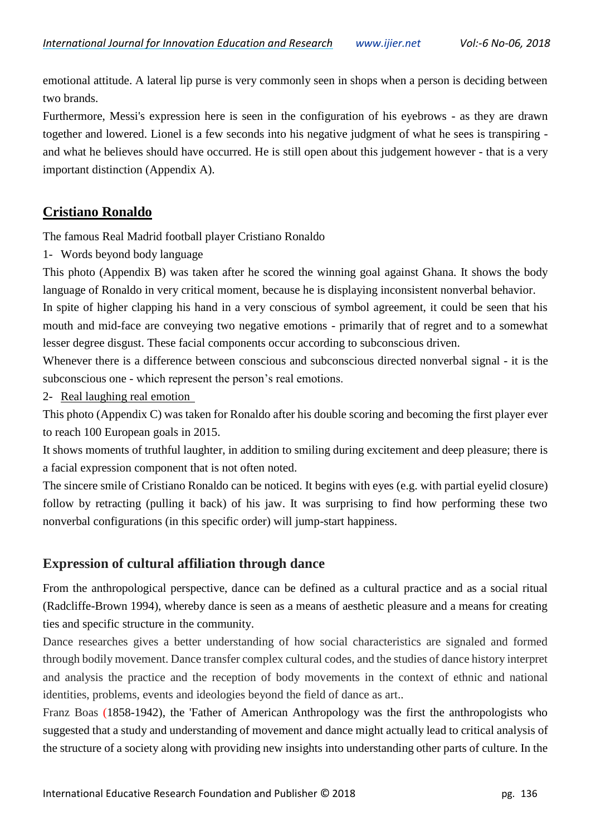emotional attitude. A lateral lip purse is very commonly seen in shops when a person is deciding between two brands.

Furthermore, Messi's expression here is seen in the configuration of his eyebrows - as they are drawn together and lowered. Lionel is a few seconds into his negative judgment of what he sees is transpiring and what he believes should have occurred. He is still open about this judgement however - that is a very important distinction (Appendix A).

### **Cristiano Ronaldo**

The famous Real Madrid football player Cristiano Ronaldo

1- Words beyond body language

This photo (Appendix B) was taken after he scored the winning goal against Ghana. It shows the body language of Ronaldo in very critical moment, because he is displaying inconsistent nonverbal behavior.

In spite of higher clapping his hand in a very conscious of symbol agreement, it could be seen that his mouth and mid-face are conveying two negative emotions - primarily that of regret and to a somewhat lesser degree disgust. These facial components occur according to subconscious driven.

Whenever there is a difference between conscious and subconscious directed nonverbal signal - it is the subconscious one - which represent the person's real emotions.

2- Real laughing real emotion

This photo (Appendix C) was taken for Ronaldo after his double scoring and becoming the first player ever to reach 100 European goals in 2015.

It shows moments of truthful laughter, in addition to smiling during excitement and deep pleasure; there is a facial expression component that is not often noted.

The sincere smile of Cristiano Ronaldo can be noticed. It begins with eyes (e.g. with partial eyelid closure) follow by retracting (pulling it back) of his jaw. It was surprising to find how performing these two nonverbal configurations (in this specific order) will jump-start happiness.

# **Expression of cultural affiliation through dance**

From the anthropological perspective, dance can be defined as a cultural practice and as a social ritual (Radcliffe-Brown 1994), whereby dance is seen as a means of aesthetic pleasure and a means for creating ties and specific structure in the community.

Dance researches gives a better understanding of how social characteristics are signaled and formed through bodily movement. Dance transfer complex cultural codes, and the studies of dance history interpret and analysis the practice and the reception of body movements in the context of ethnic and national identities, problems, events and ideologies beyond the field of dance as art..

Franz Boas (1858-1942), the 'Father of American Anthropology was the first the anthropologists who suggested that a study and understanding of movement and dance might actually lead to critical analysis of the structure of a society along with providing new insights into understanding other parts of culture. In the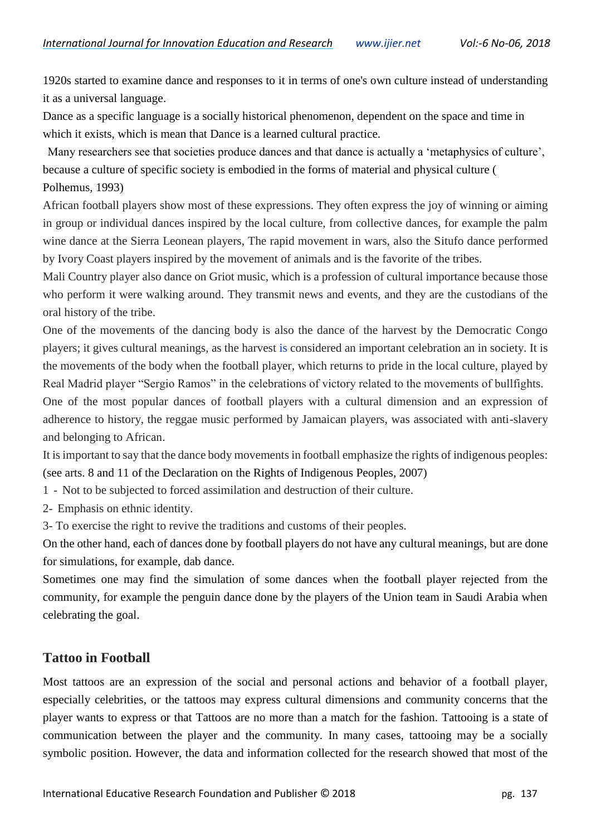1920s started to examine dance and responses to it in terms of one's own culture instead of understanding it as a universal language.

Dance as a specific language is a socially historical phenomenon, dependent on the space and time in which it exists, which is mean that Dance is a learned cultural practice.

Many researchers see that societies produce dances and that dance is actually a 'metaphysics of culture', because a culture of specific society is embodied in the forms of material and physical culture ( Polhemus, 1993)

African football players show most of these expressions. They often express the joy of winning or aiming in group or individual dances inspired by the local culture, from collective dances, for example the palm wine dance at the Sierra Leonean players, The rapid movement in wars, also the Situfo dance performed by Ivory Coast players inspired by the movement of animals and is the favorite of the tribes.

Mali Country player also dance on Griot music, which is a profession of cultural importance because those who perform it were walking around. They transmit news and events, and they are the custodians of the oral history of the tribe.

One of the movements of the dancing body is also the dance of the harvest by the Democratic Congo players; it gives cultural meanings, as the harvest is considered an important celebration an in society. It is the movements of the body when the football player, which returns to pride in the local culture, played by Real Madrid player "Sergio Ramos" in the celebrations of victory related to the movements of bullfights.

One of the most popular dances of football players with a cultural dimension and an expression of adherence to history, the reggae music performed by Jamaican players, was associated with anti-slavery and belonging to African.

It is important to say that the dance body movements in football emphasize the rights of indigenous peoples: (see arts. 8 and 11 of the Declaration on the Rights of Indigenous Peoples, 2007)

- 1 Not to be subjected to forced assimilation and destruction of their culture.
- 2- Emphasis on ethnic identity.
- 3- To exercise the right to revive the traditions and customs of their peoples.

On the other hand, each of dances done by football players do not have any cultural meanings, but are done for simulations, for example, dab dance.

Sometimes one may find the simulation of some dances when the football player rejected from the community, for example the penguin dance done by the players of the Union team in Saudi Arabia when celebrating the goal.

#### **Tattoo in Football**

Most tattoos are an expression of the social and personal actions and behavior of a football player, especially celebrities, or the tattoos may express cultural dimensions and community concerns that the player wants to express or that Tattoos are no more than a match for the fashion. Tattooing is a state of communication between the player and the community. In many cases, tattooing may be a socially symbolic position. However, the data and information collected for the research showed that most of the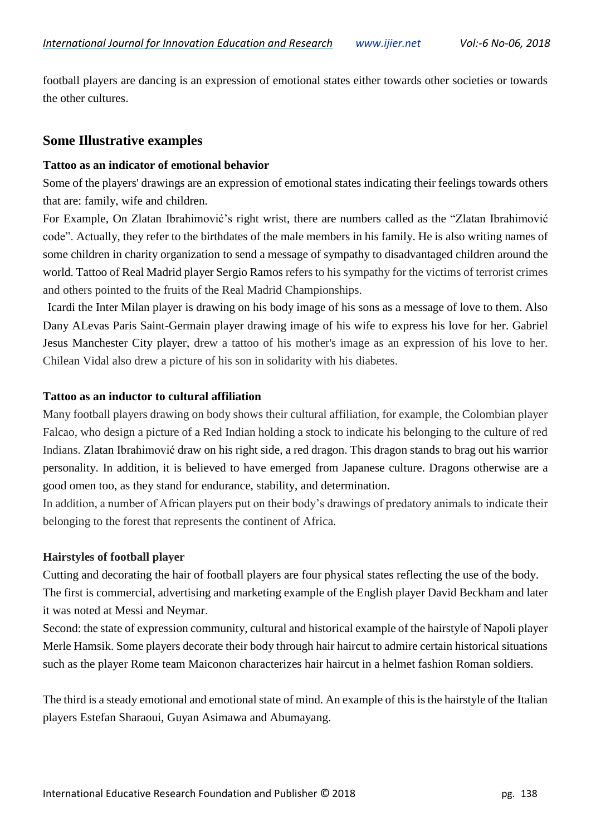football players are dancing is an expression of emotional states either towards other societies or towards the other cultures.

#### **Some Illustrative examples**

#### **Tattoo as an indicator of emotional behavior**

Some of the players' drawings are an expression of emotional states indicating their feelings towards others that are: family, wife and children.

For Example, On Zlatan Ibrahimović's right wrist, there are numbers called as the "Zlatan Ibrahimović code". Actually, they refer to the birthdates of the male members in his family. He is also writing names of some children in charity organization to send a message of sympathy to disadvantaged children around the world. Tattoo of Real Madrid player Sergio Ramos refers to his sympathy for the victims of terrorist crimes and others pointed to the fruits of the Real Madrid Championships.

Icardi the Inter Milan player is drawing on his body image of his sons as a message of love to them. Also Dany ALevas Paris Saint-Germain player drawing image of his wife to express his love for her. Gabriel Jesus Manchester City player, drew a tattoo of his mother's image as an expression of his love to her. Chilean Vidal also drew a picture of his son in solidarity with his diabetes.

#### **Tattoo as an inductor to cultural affiliation**

Many football players drawing on body shows their cultural affiliation, for example, the Colombian player Falcao, who design a picture of a Red Indian holding a stock to indicate his belonging to the culture of red Indians. Zlatan Ibrahimović draw on his right side, a red dragon. This dragon stands to brag out his warrior personality. In addition, it is believed to have emerged from Japanese culture. Dragons otherwise are a good omen too, as they stand for endurance, stability, and determination.

In addition, a number of African players put on their body's drawings of predatory animals to indicate their belonging to the forest that represents the continent of Africa.

#### **Hairstyles of football player**

Cutting and decorating the hair of football players are four physical states reflecting the use of the body. The first is commercial, advertising and marketing example of the English player David Beckham and later it was noted at Messi and Neymar.

Second: the state of expression community, cultural and historical example of the hairstyle of Napoli player Merle Hamsik. Some players decorate their body through hair haircut to admire certain historical situations such as the player Rome team Maiconon characterizes hair haircut in a helmet fashion Roman soldiers.

The third is a steady emotional and emotional state of mind. An example of this is the hairstyle of the Italian players Estefan Sharaoui, Guyan Asimawa and Abumayang.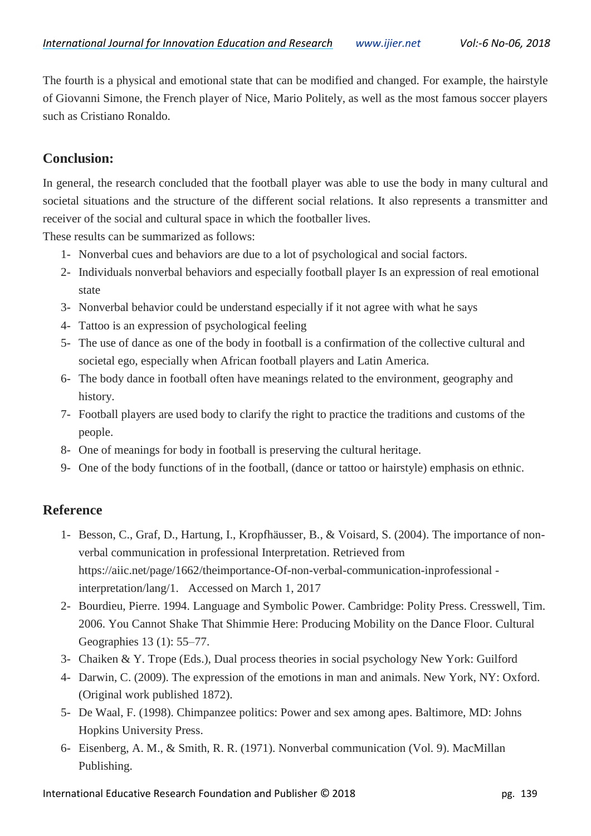The fourth is a physical and emotional state that can be modified and changed. For example, the hairstyle of Giovanni Simone, the French player of Nice, Mario Politely, as well as the most famous soccer players such as Cristiano Ronaldo.

## **Conclusion:**

In general, the research concluded that the football player was able to use the body in many cultural and societal situations and the structure of the different social relations. It also represents a transmitter and receiver of the social and cultural space in which the footballer lives.

These results can be summarized as follows:

- 1- Nonverbal cues and behaviors are due to a lot of psychological and social factors.
- 2- Individuals nonverbal behaviors and especially football player Is an expression of real emotional state
- 3- Nonverbal behavior could be understand especially if it not agree with what he says
- 4- Tattoo is an expression of psychological feeling
- 5- The use of dance as one of the body in football is a confirmation of the collective cultural and societal ego, especially when African football players and Latin America.
- 6- The body dance in football often have meanings related to the environment, geography and history.
- 7- Football players are used body to clarify the right to practice the traditions and customs of the people.
- 8- One of meanings for body in football is preserving the cultural heritage.
- 9- One of the body functions of in the football, (dance or tattoo or hairstyle) emphasis on ethnic.

#### **Reference**

- 1- Besson, C., Graf, D., Hartung, I., Kropfhäusser, B., & Voisard, S. (2004). The importance of nonverbal communication in professional Interpretation. Retrieved from https://aiic.net/page/1662/theimportance-Of-non-verbal-communication-inprofessional interpretation/lang/1. Accessed on March 1, 2017
- 2- Bourdieu, Pierre. 1994. Language and Symbolic Power. Cambridge: Polity Press. Cresswell, Tim. 2006. You Cannot Shake That Shimmie Here: Producing Mobility on the Dance Floor. Cultural Geographies 13 (1): 55–77.
- 3- Chaiken & Y. Trope (Eds.), Dual process theories in social psychology New York: Guilford
- 4- Darwin, C. (2009). The expression of the emotions in man and animals. New York, NY: Oxford. (Original work published 1872).
- 5- De Waal, F. (1998). Chimpanzee politics: Power and sex among apes. Baltimore, MD: Johns Hopkins University Press.
- 6- Eisenberg, A. M., & Smith, R. R. (1971). Nonverbal communication (Vol. 9). MacMillan Publishing.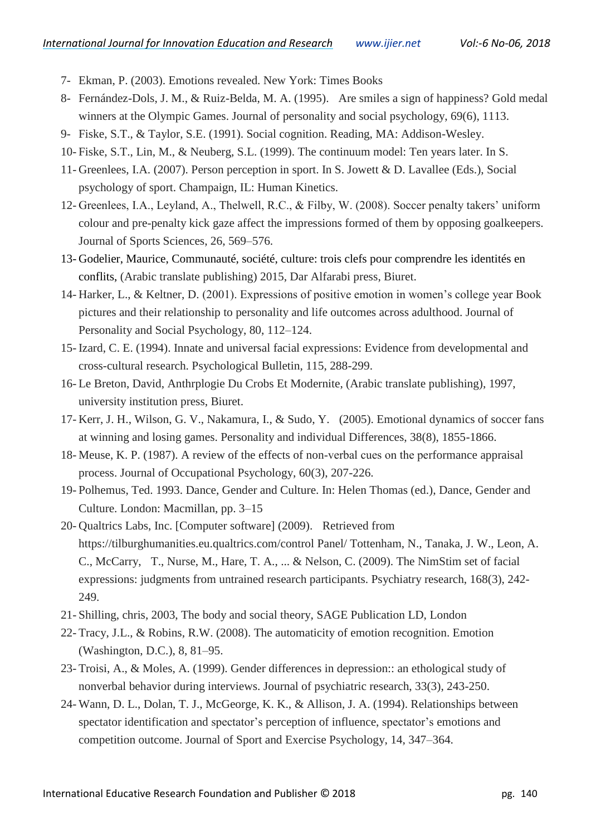- 7- Ekman, P. (2003). Emotions revealed. New York: Times Books
- 8- Fernández-Dols, J. M., & Ruiz-Belda, M. A. (1995). Are smiles a sign of happiness? Gold medal winners at the Olympic Games. Journal of personality and social psychology, 69(6), 1113.
- 9- Fiske, S.T., & Taylor, S.E. (1991). Social cognition. Reading, MA: Addison-Wesley.
- 10- Fiske, S.T., Lin, M., & Neuberg, S.L. (1999). The continuum model: Ten years later. In S.
- 11- Greenlees, I.A. (2007). Person perception in sport. In S. Jowett & D. Lavallee (Eds.), Social psychology of sport. Champaign, IL: Human Kinetics.
- 12- Greenlees, I.A., Leyland, A., Thelwell, R.C., & Filby, W. (2008). Soccer penalty takers' uniform colour and pre-penalty kick gaze affect the impressions formed of them by opposing goalkeepers. Journal of Sports Sciences, 26, 569–576.
- 13- Godelier, Maurice, Communauté, société, culture: trois clefs pour comprendre les identités en conflits, (Arabic translate publishing) 2015, Dar Alfarabi press, Biuret.
- 14- Harker, L., & Keltner, D. (2001). Expressions of positive emotion in women's college year Book pictures and their relationship to personality and life outcomes across adulthood. Journal of Personality and Social Psychology, 80, 112–124.
- 15- Izard, C. E. (1994). Innate and universal facial expressions: Evidence from developmental and cross-cultural research. Psychological Bulletin, 115, 288-299.
- 16- Le Breton, David, Anthrplogie Du Crobs Et Modernite, (Arabic translate publishing), 1997, university institution press, Biuret.
- 17- Kerr, J. H., Wilson, G. V., Nakamura, I., & Sudo, Y. (2005). Emotional dynamics of soccer fans at winning and losing games. Personality and individual Differences, 38(8), 1855-1866.
- 18- Meuse, K. P. (1987). A review of the effects of non‐verbal cues on the performance appraisal process. Journal of Occupational Psychology, 60(3), 207-226.
- 19- Polhemus, Ted. 1993. Dance, Gender and Culture. In: Helen Thomas (ed.), Dance, Gender and Culture. London: Macmillan, pp. 3–15
- 20- Qualtrics Labs, Inc. [Computer software] (2009). Retrieved from https://tilburghumanities.eu.qualtrics.com/control Panel/ Tottenham, N., Tanaka, J. W., Leon, A. C., McCarry, T., Nurse, M., Hare, T. A., ... & Nelson, C. (2009). The NimStim set of facial expressions: judgments from untrained research participants. Psychiatry research, 168(3), 242- 249.
- 21- Shilling, chris, 2003, The body and social theory, SAGE Publication LD, London
- 22- Tracy, J.L., & Robins, R.W. (2008). The automaticity of emotion recognition. Emotion (Washington, D.C.), 8, 81–95.
- 23- Troisi, A., & Moles, A. (1999). Gender differences in depression:: an ethological study of nonverbal behavior during interviews. Journal of psychiatric research, 33(3), 243-250.
- 24- Wann, D. L., Dolan, T. J., McGeorge, K. K., & Allison, J. A. (1994). Relationships between spectator identification and spectator's perception of influence, spectator's emotions and competition outcome. Journal of Sport and Exercise Psychology, 14, 347–364.